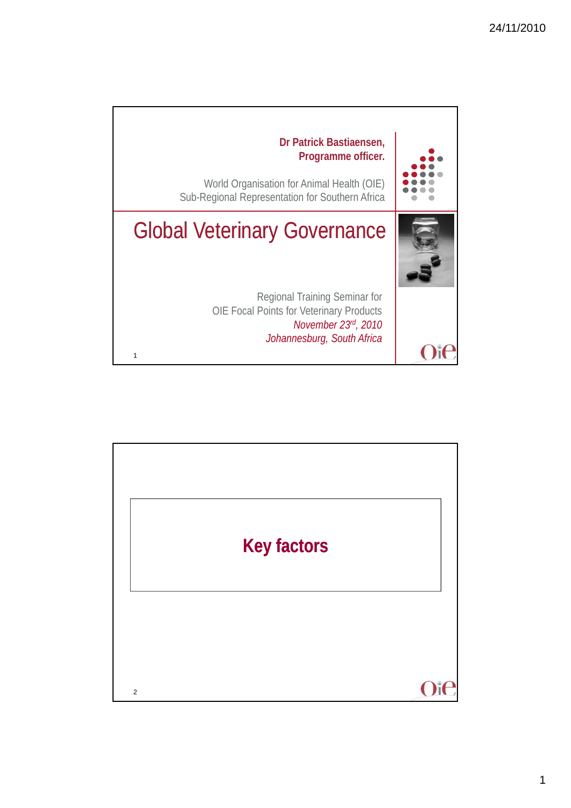

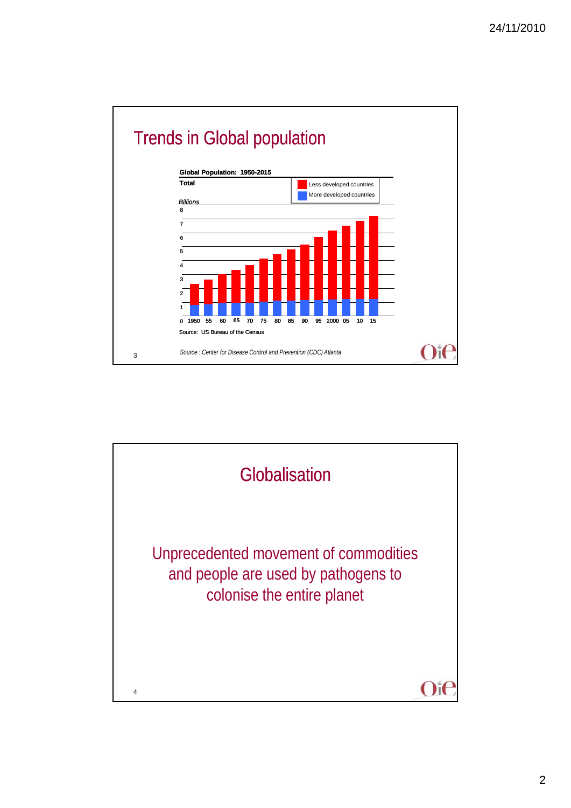

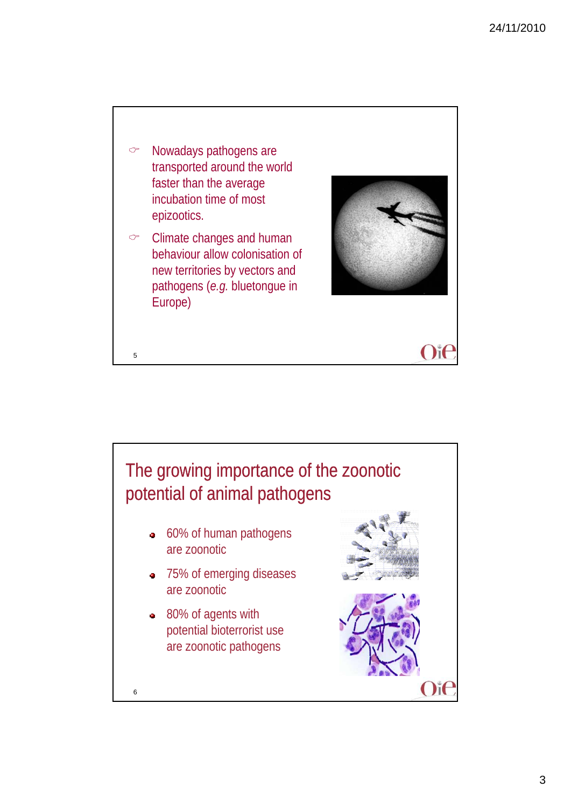

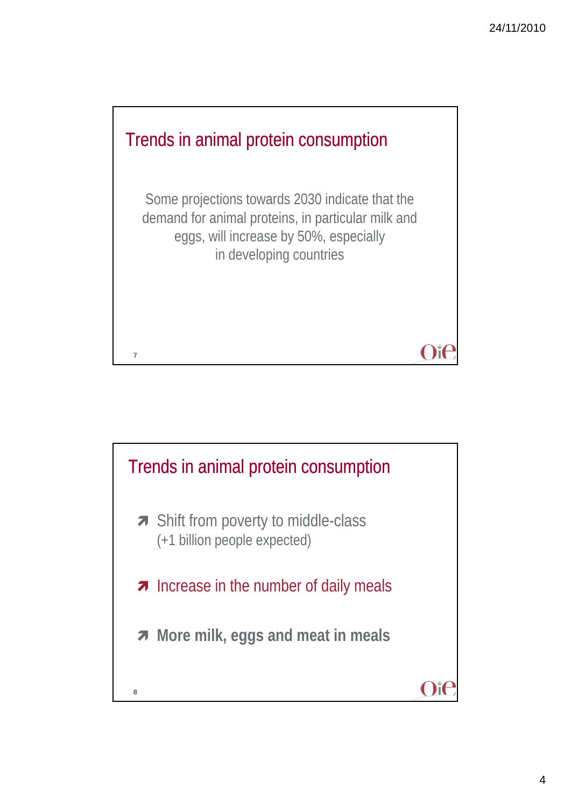

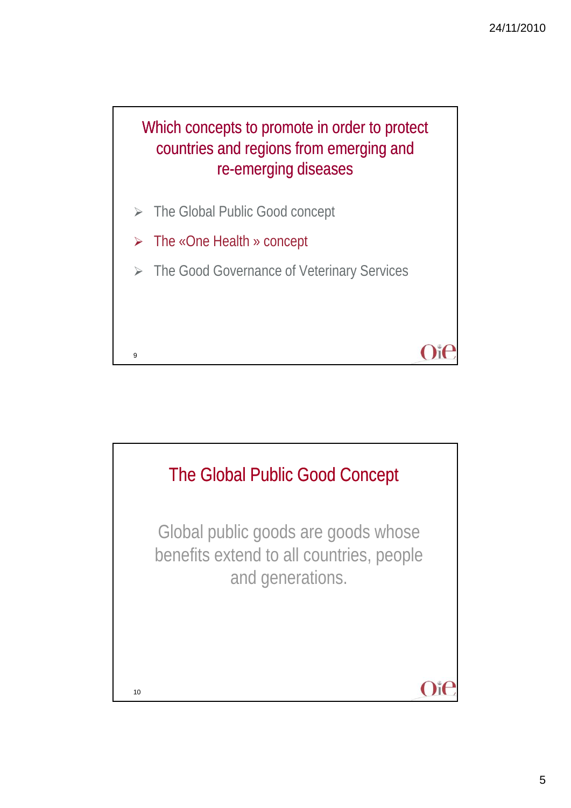## Which concepts to promote in order to protect countries and regions from emerging and re-emerging diseases

- > The Global Public Good concept
- The «One Health » concept

9

> The Good Governance of Veterinary Services

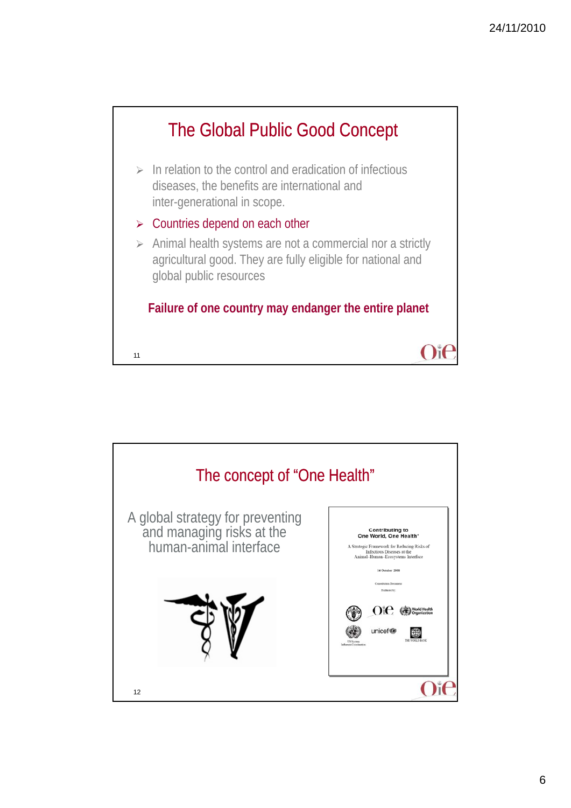

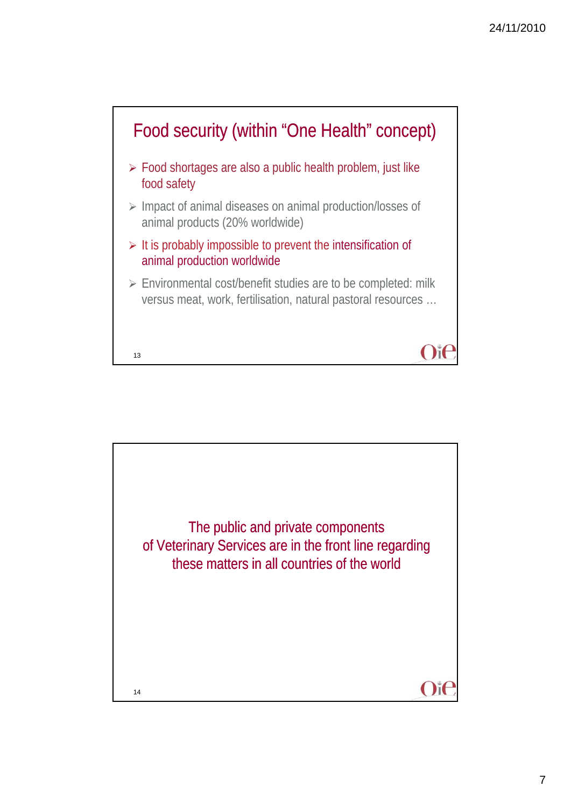

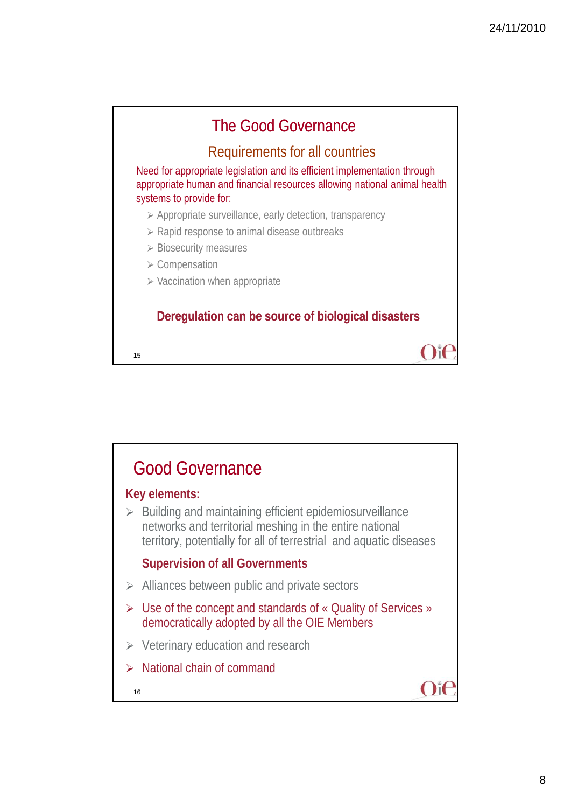

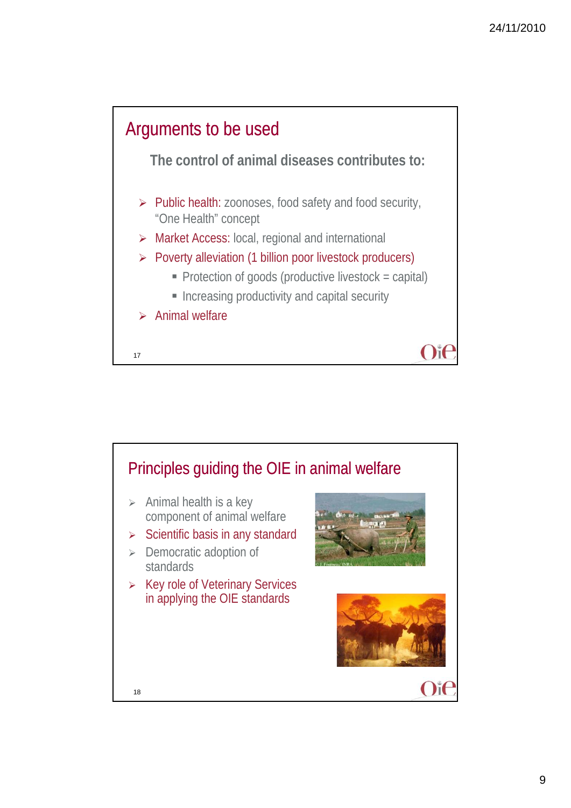

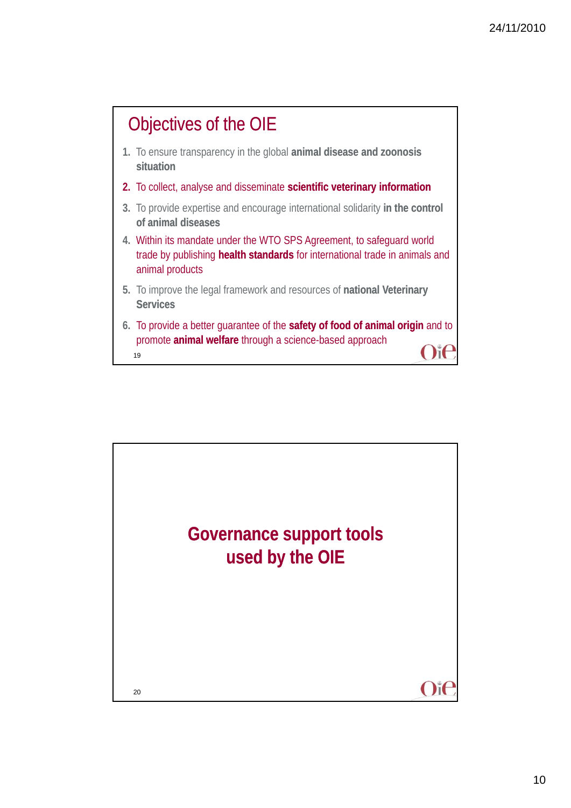## Objectives of the OIE

- **1.** To ensure transparency in the global **animal disease and zoonosis situation**
- 2. To collect, analyse and disseminate scientific veterinary information
- **3.** To provide expertise and encourage international solidarity **in the control of animal diseases**
- **4.** Within its mandate under the WTO SPS Agreement, to safeguard world trade by publishing **health standards** for international trade in animals and animal products
- **5.** To improve the legal framework and resources of **national Veterinary Services**
- 19 **6.** To provide a better guarantee of the **safety of food of animal origin** and to promote **animal welfare** through a science-based approach

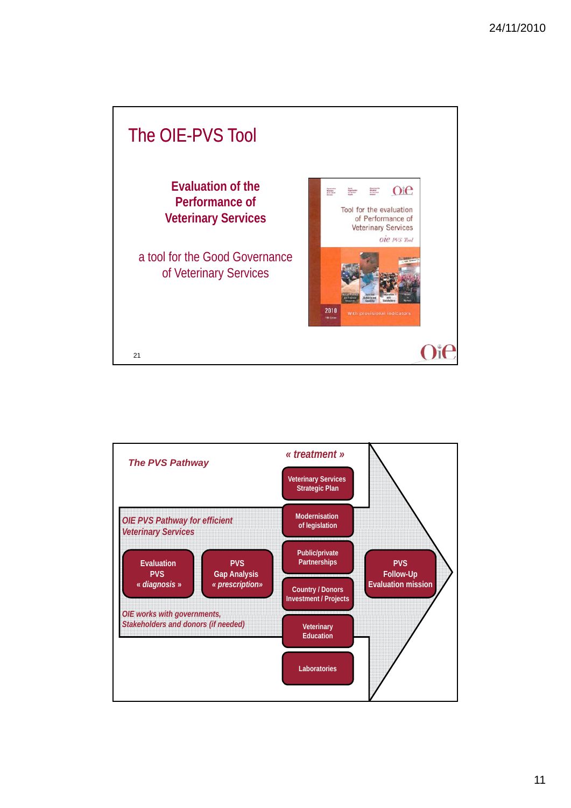

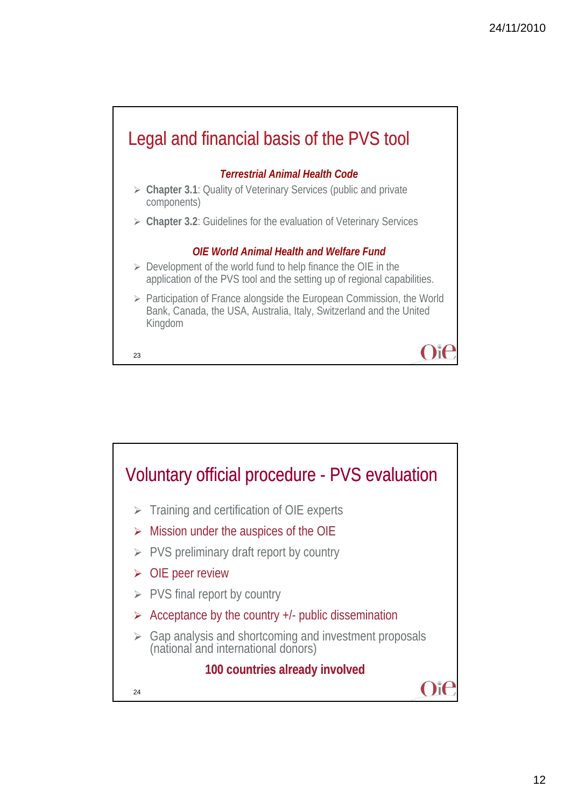

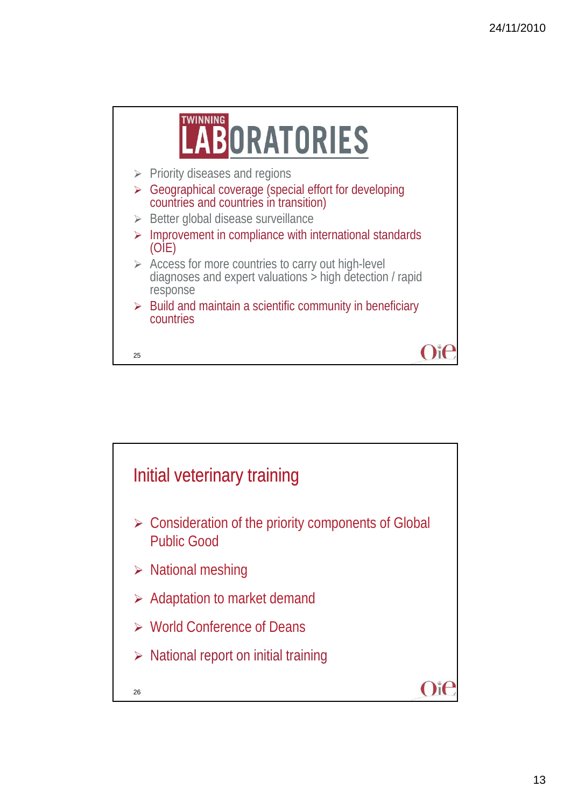

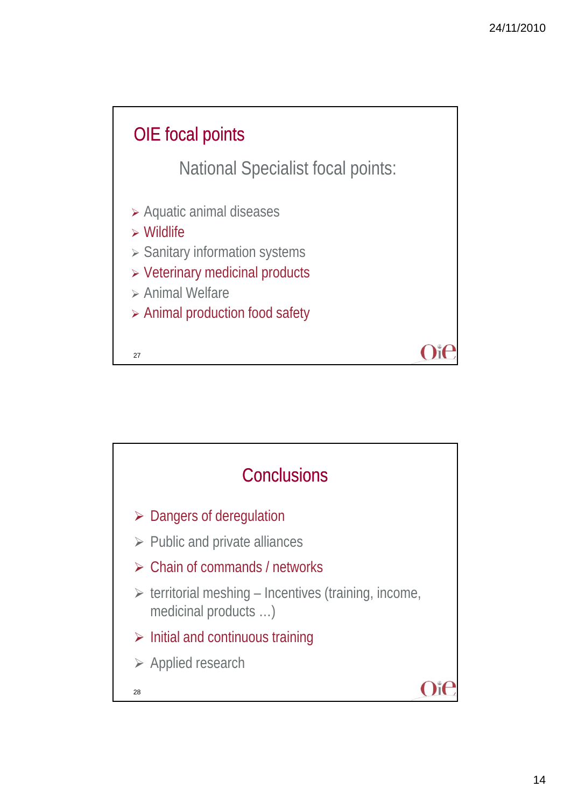